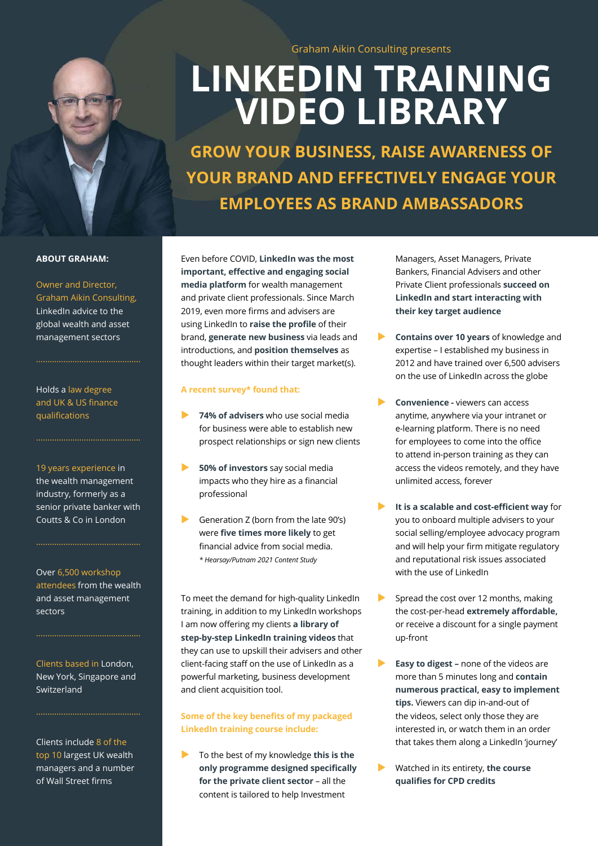

# **LINKEDIN TRAINING VIDEO LIBRARY** Graham Aikin Consulting presents

**GROW YOUR BUSINESS, RAISE AWARENESS OF YOUR BRAND AND EFFECTIVELY ENGAGE YOUR EMPLOYEES AS BRAND AMBASSADORS**

#### **ABOUT GRAHAM:**

Owner and Director, Graham Aikin Consulting, LinkedIn advice to the global wealth and asset management sectors

Holds a law degree and UK & US finance qualifications

19 years experience in the wealth management industry, formerly as a senior private banker with Coutts & Co in London

Over 6,500 workshop attendees from the wealth and asset management sectors

..............................................

Clients based in London, New York, Singapore and Switzerland

..............................................

Clients include 8 of the top 10 largest UK wealth managers and a number of Wall Street firms

Even before COVID, **LinkedIn was the most important, effective and engaging social media platform** for wealth management and private client professionals. Since March 2019, even more firms and advisers are using LinkedIn to **raise the profile** of their brand, **generate new business** via leads and introductions, and **position themselves** as thought leaders within their target market(s).

#### **A recent survey\* found that:**

- X **74% of advisers** who use social media for business were able to establish new prospect relationships or sign new clients
- **50% of investors** say social media impacts who they hire as a financial professional
- Generation Z (born from the late 90's) were **five times more likely** to get financial advice from social media. *\* Hearsay/Putnam 2021 Content Study*

To meet the demand for high-quality LinkedIn training, in addition to my LinkedIn workshops I am now offering my clients **a library of step-by-step LinkedIn training videos** that they can use to upskill their advisers and other client-facing staff on the use of LinkedIn as a powerful marketing, business development and client acquisition tool.

#### **Some of the key benefits of my packaged LinkedIn training course include:**

 $\triangleright$  To the best of my knowledge this is the **only programme designed specifically for the private client sector** – all the content is tailored to help Investment

Managers, Asset Managers, Private Bankers, Financial Advisers and other Private Client professionals **succeed on LinkedIn and start interacting with their key target audience**

- **Contains over 10 years of knowledge and** expertise – I established my business in 2012 and have trained over 6,500 advisers on the use of LinkedIn across the globe
- **Convenience -** viewers can access anytime, anywhere via your intranet or e-learning platform. There is no need for employees to come into the office to attend in-person training as they can access the videos remotely, and they have unlimited access, forever
- **It is a scalable and cost-efficient way** for you to onboard multiple advisers to your social selling/employee advocacy program and will help your firm mitigate regulatory and reputational risk issues associated with the use of LinkedIn
- $\blacktriangleright$  Spread the cost over 12 months, making the cost-per-head **extremely affordable,** or receive a discount for a single payment up-front
- **Easy to digest none of the videos are** more than 5 minutes long and **contain numerous practical, easy to implement tips.** Viewers can dip in-and-out of the videos, select only those they are interested in, or watch them in an order that takes them along a LinkedIn 'journey'
- X Watched in its entirety, **the course qualifies for CPD credits**